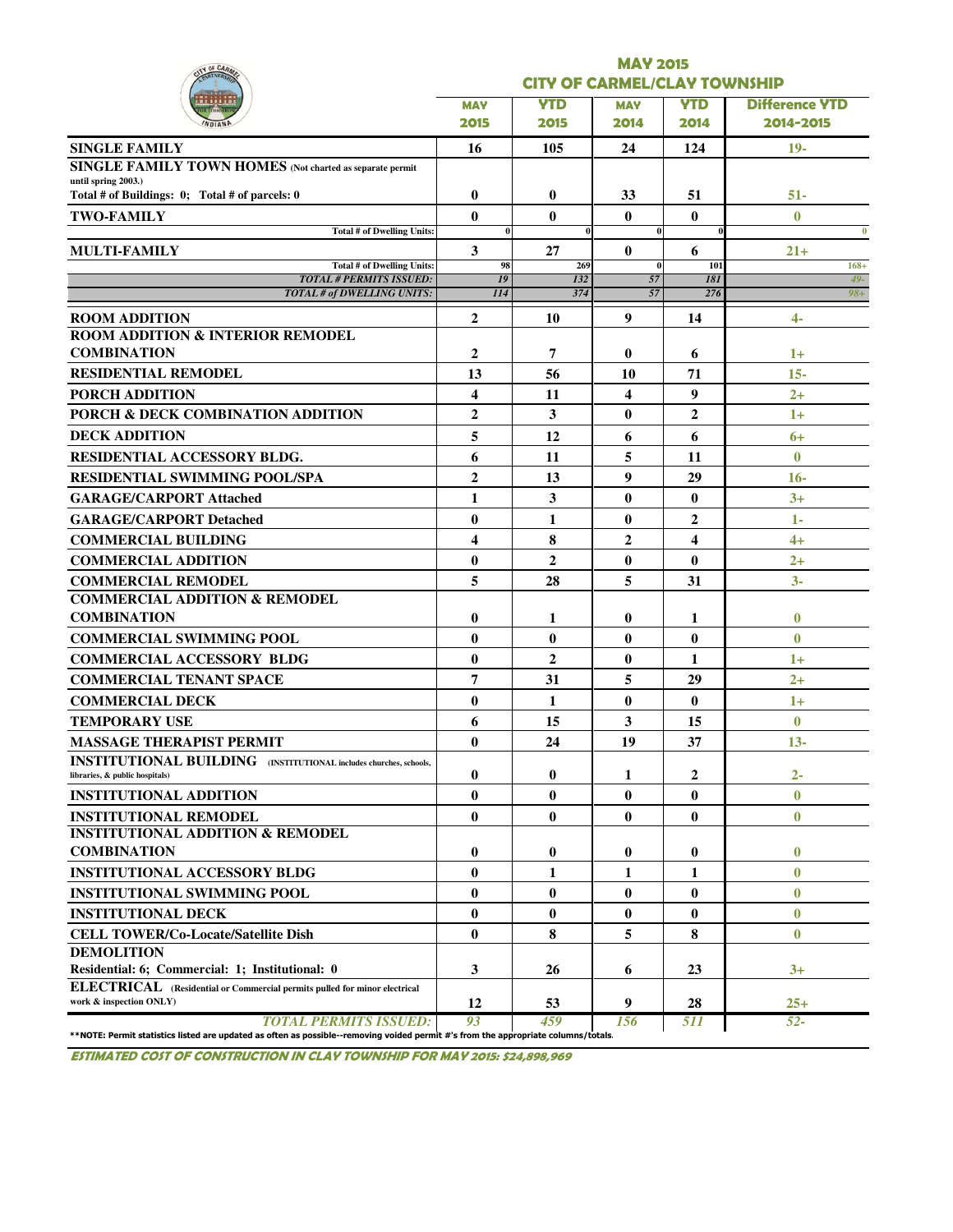| Y OF CAR                                                                                                   |                         |                                     | <b>MAY 2015</b> |                |                       |  |  |  |  |  |  |
|------------------------------------------------------------------------------------------------------------|-------------------------|-------------------------------------|-----------------|----------------|-----------------------|--|--|--|--|--|--|
|                                                                                                            |                         | <b>CITY OF CARMEL/CLAY TOWNSHIP</b> |                 |                |                       |  |  |  |  |  |  |
|                                                                                                            | <b>MAY</b>              | <b>YTD</b>                          | <b>MAY</b>      | <b>YTD</b>     | <b>Difference YTD</b> |  |  |  |  |  |  |
|                                                                                                            | 2015                    | 2015                                | 2014            | 2014           | 2014-2015             |  |  |  |  |  |  |
| <b>SINGLE FAMILY</b>                                                                                       | 16                      | 105                                 | 24              | 124            | $19-$                 |  |  |  |  |  |  |
| <b>SINGLE FAMILY TOWN HOMES</b> (Not charted as separate permit                                            |                         |                                     |                 |                |                       |  |  |  |  |  |  |
| until spring 2003.)<br>Total # of Buildings: 0; Total # of parcels: 0                                      | $\bf{0}$                | $\bf{0}$                            | 33              | 51             | $51 -$                |  |  |  |  |  |  |
| <b>TWO-FAMILY</b>                                                                                          | 0                       | $\mathbf{0}$                        | $\bf{0}$        | $\bf{0}$       | $\mathbf{0}$          |  |  |  |  |  |  |
| <b>Total # of Dwelling Units:</b>                                                                          | $\bf{0}$                |                                     | $\bf{0}$        |                | $\bf{0}$              |  |  |  |  |  |  |
| MULTI-FAMILY                                                                                               | 3                       | 27                                  | $\bf{0}$        | 6              | $21+$                 |  |  |  |  |  |  |
| Total # of Dwelling Units:<br><b>TOTAL # PERMITS ISSUED:</b>                                               | 98<br>19                | 269<br>132                          | $\bf{0}$<br>57  | 101<br>181     | $168+$<br>$49-$       |  |  |  |  |  |  |
| <b>TOTAL # of DWELLING UNITS:</b>                                                                          | II4                     | 374                                 | 57              | 276            | $98 +$                |  |  |  |  |  |  |
| <b>ROOM ADDITION</b>                                                                                       | $\mathbf{2}$            | 10                                  | 9               | 14             | 4-                    |  |  |  |  |  |  |
| <b>ROOM ADDITION &amp; INTERIOR REMODEL</b>                                                                |                         |                                     |                 |                |                       |  |  |  |  |  |  |
| <b>COMBINATION</b>                                                                                         | $\mathbf{2}$            | 7                                   | 0               | 6              | $1+$                  |  |  |  |  |  |  |
| <b>RESIDENTIAL REMODEL</b>                                                                                 | 13                      | 56                                  | 10              | 71             | $15 -$                |  |  |  |  |  |  |
| PORCH ADDITION                                                                                             | $\overline{\mathbf{4}}$ | 11                                  | 4               | 9              | $2+$                  |  |  |  |  |  |  |
| PORCH & DECK COMBINATION ADDITION                                                                          | $\overline{2}$          | 3                                   | 0               | $\mathbf{2}$   | $1+$                  |  |  |  |  |  |  |
| <b>DECK ADDITION</b>                                                                                       | 5                       | 12                                  | 6               | 6              | $6+$                  |  |  |  |  |  |  |
| <b>RESIDENTIAL ACCESSORY BLDG.</b>                                                                         | 6                       | 11                                  | 5               | 11             | $\mathbf{0}$          |  |  |  |  |  |  |
| <b>RESIDENTIAL SWIMMING POOL/SPA</b>                                                                       | $\overline{2}$          | 13                                  | 9               | 29             | $16-$                 |  |  |  |  |  |  |
| <b>GARAGE/CARPORT Attached</b>                                                                             | $\mathbf{1}$            | 3                                   | $\bf{0}$        | $\bf{0}$       | $3+$                  |  |  |  |  |  |  |
| <b>GARAGE/CARPORT Detached</b>                                                                             | $\bf{0}$                | 1                                   | $\bf{0}$        | $\overline{2}$ | 1-                    |  |  |  |  |  |  |
| <b>COMMERCIAL BUILDING</b>                                                                                 | $\overline{\mathbf{4}}$ | 8                                   | 2               | 4              | $4+$                  |  |  |  |  |  |  |
| <b>COMMERCIAL ADDITION</b>                                                                                 | $\bf{0}$                | $\overline{2}$                      | $\bf{0}$        | $\bf{0}$       | $2+$                  |  |  |  |  |  |  |
| <b>COMMERCIAL REMODEL</b>                                                                                  | 5                       | 28                                  | 5               | 31             | $3-$                  |  |  |  |  |  |  |
| <b>COMMERCIAL ADDITION &amp; REMODEL</b>                                                                   |                         |                                     |                 |                |                       |  |  |  |  |  |  |
| <b>COMBINATION</b>                                                                                         | $\bf{0}$                | 1                                   | 0               | 1              | $\bf{0}$              |  |  |  |  |  |  |
| <b>COMMERCIAL SWIMMING POOL</b>                                                                            | $\bf{0}$                | $\mathbf{0}$                        | $\bf{0}$        | $\bf{0}$       | $\bf{0}$              |  |  |  |  |  |  |
| <b>COMMERCIAL ACCESSORY BLDG</b>                                                                           | $\bf{0}$                | $\overline{2}$                      | $\bf{0}$        | $\mathbf{1}$   | $1+$                  |  |  |  |  |  |  |
| <b>COMMERCIAL TENANT SPACE</b>                                                                             | 7                       | 31                                  | 5               | 29             | $2+$                  |  |  |  |  |  |  |
| <b>COMMERCIAL DECK</b>                                                                                     | $\bf{0}$                | 1                                   | $\bf{0}$        | $\bf{0}$       | $1+$                  |  |  |  |  |  |  |
| <b>TEMPORARY USE</b>                                                                                       | 6                       | 15                                  | 3               | 15             | $\mathbf{0}$          |  |  |  |  |  |  |
| <b>MASSAGE THERAPIST PERMIT</b>                                                                            | $\bf{0}$                | 24                                  | 19              | 37             | $13 -$                |  |  |  |  |  |  |
| <b>INSTITUTIONAL BUILDING</b> (INSTITUTIONAL includes churches, schools,<br>libraries, & public hospitals) | $\bf{0}$                | $\bf{0}$                            | 1               | 2              | $2-$                  |  |  |  |  |  |  |
| <b>INSTITUTIONAL ADDITION</b>                                                                              | $\bf{0}$                | $\bf{0}$                            | $\bf{0}$        | $\bf{0}$       | $\bf{0}$              |  |  |  |  |  |  |
| <b>INSTITUTIONAL REMODEL</b>                                                                               | $\bf{0}$                | $\bf{0}$                            | $\bf{0}$        | $\bf{0}$       | $\bf{0}$              |  |  |  |  |  |  |
| <b>INSTITUTIONAL ADDITION &amp; REMODEL</b>                                                                |                         |                                     |                 |                |                       |  |  |  |  |  |  |
| <b>COMBINATION</b>                                                                                         | $\bf{0}$                | 0                                   | 0               | $\bf{0}$       | $\bf{0}$              |  |  |  |  |  |  |
| <b>INSTITUTIONAL ACCESSORY BLDG</b>                                                                        | $\bf{0}$                | 1                                   | 1               | 1              | $\bf{0}$              |  |  |  |  |  |  |
| <b>INSTITUTIONAL SWIMMING POOL</b>                                                                         | $\bf{0}$                | $\bf{0}$                            | $\bf{0}$        | $\bf{0}$       | $\bf{0}$              |  |  |  |  |  |  |
| <b>INSTITUTIONAL DECK</b>                                                                                  | $\bf{0}$                | $\mathbf{0}$                        | $\bf{0}$        | $\bf{0}$       | $\bf{0}$              |  |  |  |  |  |  |
| <b>CELL TOWER/Co-Locate/Satellite Dish</b>                                                                 | $\bf{0}$                | 8                                   | 5               | 8              | $\bf{0}$              |  |  |  |  |  |  |
| <b>DEMOLITION</b>                                                                                          |                         |                                     |                 |                |                       |  |  |  |  |  |  |
| Residential: 6; Commercial: 1; Institutional: 0                                                            | 3                       | 26                                  | 6               | 23             | $3+$                  |  |  |  |  |  |  |
| ELECTRICAL (Residential or Commercial permits pulled for minor electrical                                  |                         |                                     |                 |                |                       |  |  |  |  |  |  |

ESTIMATED COST OF CONSTRUCTION IN CLAY TOWNSHIP FOR MAY 2015: \$24,898,969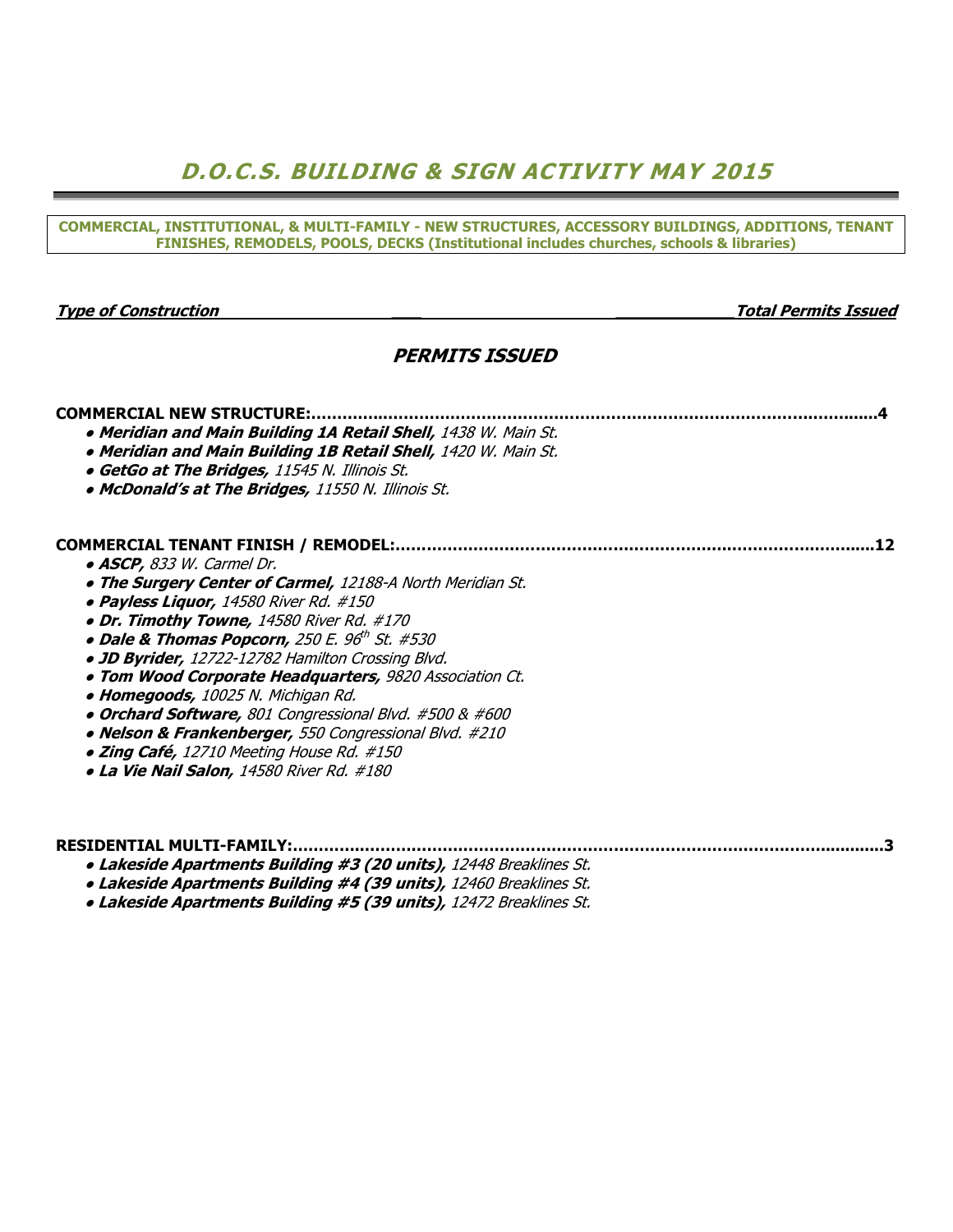# D.O.C.S. BUILDING & SIGN ACTIVITY MAY 2015

COMMERCIAL, INSTITUTIONAL, & MULTI-FAMILY - NEW STRUCTURES, ACCESSORY BUILDINGS, ADDITIONS, TENANT FINISHES, REMODELS, POOLS, DECKS (Institutional includes churches, schools & libraries)

#### Type of Construction \_\_\_ \_\_\_\_\_\_\_\_\_\_\_\_Total Permits Issued

## PERMITS ISSUED

## COMMERCIAL NEW STRUCTURE:…………...……………………………………………………………………….…….......4

- Meridian and Main Building 1A Retail Shell, 1438 W. Main St.
- Meridian and Main Building 1B Retail Shell, 1420 W. Main St.
- GetGo at The Bridges, 11545 N. Illinois St.
- McDonald's at The Bridges, 11550 N. Illinois St.

#### COMMERCIAL TENANT FINISH / REMODEL:………………………………………………………..…………….……......12

- ASCP, 833 W. Carmel Dr.
- The Surgery Center of Carmel, 12188-A North Meridian St.
- Payless Liquor, 14580 River Rd. #150
- Dr. Timothy Towne, 14580 River Rd. #170
- $\bullet$  Dale & Thomas Popcorn, 250 E. 96th St. #530
	- JD Byrider, 12722-12782 Hamilton Crossing Blvd.
	- Tom Wood Corporate Headquarters, 9820 Association Ct.
	- Homegoods, 10025 N. Michigan Rd.
	- Orchard Software, 801 Congressional Blvd. #500 & #600
	- Nelson & Frankenberger, 550 Congressional Blvd. #210
	- Zing Café, 12710 Meeting House Rd. #150
	- La Vie Nail Salon, 14580 River Rd. #180

|  |  |  |  | $\cdots$ $\cdots$ $\cdots$ $\cdots$ $\cdots$ $\cdots$ $\cdots$ $\cdots$ |  |  |  |  |
|--|--|--|--|-------------------------------------------------------------------------|--|--|--|--|

- Lakeside Apartments Building #3 (20 units), 12448 Breaklines St.
- Lakeside Apartments Building #4 (39 units), 12460 Breaklines St.
- Lakeside Apartments Building #5 (39 units), 12472 Breaklines St.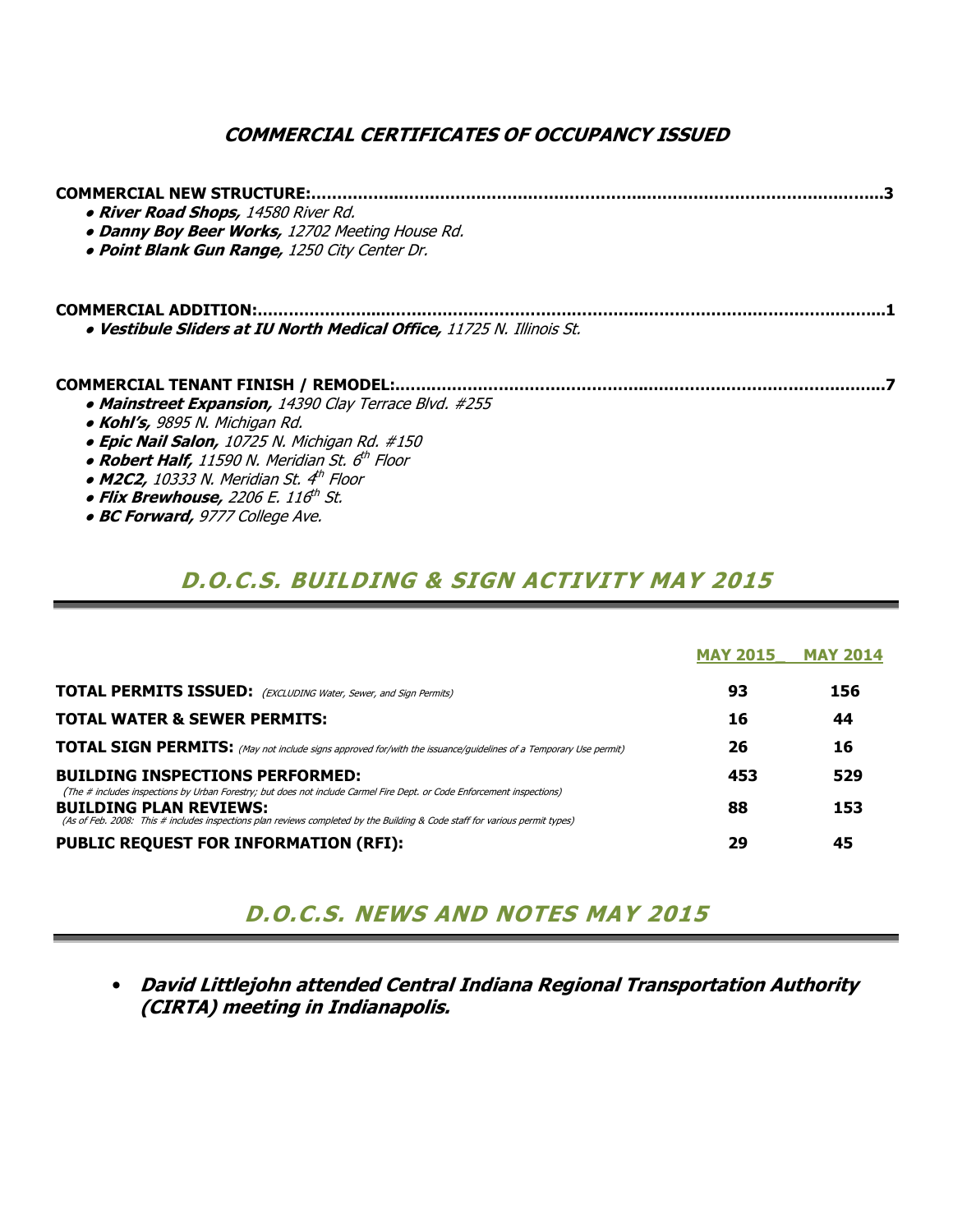## COMMERCIAL CERTIFICATES OF OCCUPANCY ISSUED

| <b>COMMERCIAL NEW STRUCTURE:</b><br>. River Road Shops, 14580 River Rd.<br>• Danny Boy Beer Works, 12702 Meeting House Rd.<br>. Point Blank Gun Range, 1250 City Center Dr.                                                                             |  |
|---------------------------------------------------------------------------------------------------------------------------------------------------------------------------------------------------------------------------------------------------------|--|
| <b>COMMERCIAL ADDITION:</b><br>. Vestibule Sliders at IU North Medical Office, 11725 N. Illinois St.                                                                                                                                                    |  |
| <b>COMMERCIAL TENANT FINISH / REMODEL:</b><br>• Mainstreet Expansion, 14390 Clay Terrace Blvd. #255                                                                                                                                                     |  |
| • Kohl's, 9895 N. Michigan Rd.<br>• Epic Nail Salon, 10725 N. Michigan Rd. #150<br>• Robert Half, 11590 N. Meridian St. 6 <sup>th</sup> Floor<br>• M2C2, 10333 N. Meridian St. $4^{\text{th}}$ Floor<br>• Flix Brewhouse, 2206 E. 116 <sup>th</sup> St. |  |
| · BC Forward, 9777 College Ave.                                                                                                                                                                                                                         |  |

# D.O.C.S. BUILDING & SIGN ACTIVITY MAY 2015

|                                                                                                                                                                                                                                                                                        | <b>MAY 2015</b> | <b>MAY 2014</b> |
|----------------------------------------------------------------------------------------------------------------------------------------------------------------------------------------------------------------------------------------------------------------------------------------|-----------------|-----------------|
| <b>TOTAL PERMITS ISSUED:</b> (EXCLUDING Water, Sewer, and Sign Permits)                                                                                                                                                                                                                | 93              | 156             |
| <b>TOTAL WATER &amp; SEWER PERMITS:</b>                                                                                                                                                                                                                                                | 16              | 44              |
| <b>TOTAL SIGN PERMITS:</b> (May not include signs approved for/with the issuance/guidelines of a Temporary Use permit)                                                                                                                                                                 | 26              | 16              |
| <b>BUILDING INSPECTIONS PERFORMED:</b>                                                                                                                                                                                                                                                 | 453             | 529             |
| (The # includes inspections by Urban Forestry; but does not include Carmel Fire Dept. or Code Enforcement inspections)<br><b>BUILDING PLAN REVIEWS:</b><br>(As of Feb. 2008: This # includes inspections plan reviews completed by the Building & Code staff for various permit types) | 88              | 153             |
| <b>PUBLIC REQUEST FOR INFORMATION (RFI):</b>                                                                                                                                                                                                                                           | 29              | 45              |

# D.O.C.S. NEWS AND NOTES MAY 2015

• David Littlejohn attended Central Indiana Regional Transportation Authority (CIRTA) meeting in Indianapolis.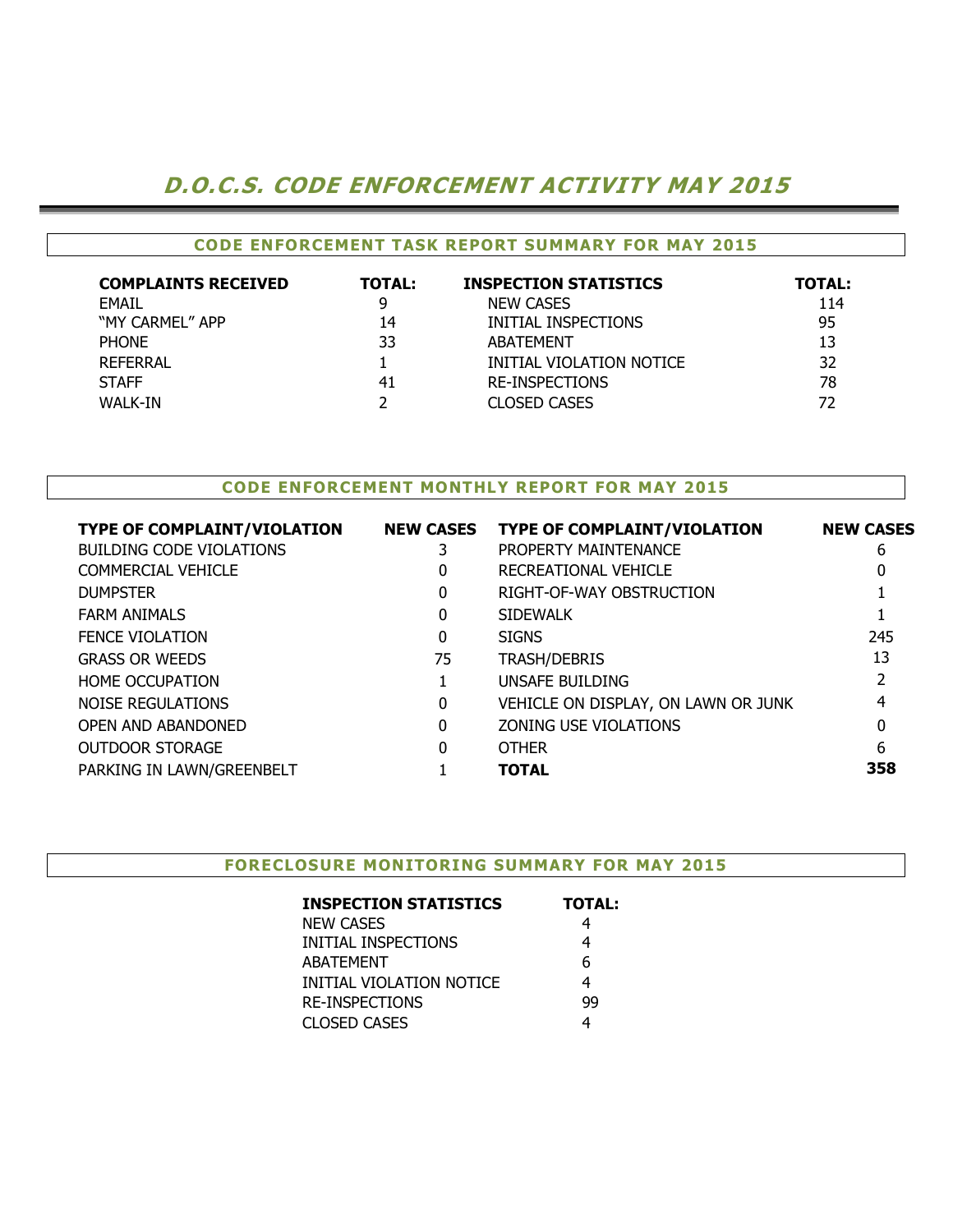# D.O.C.S. CODE ENFORCEMENT ACTIVITY MAY 2015

## CODE ENFORCEMENT TASK REPORT SUMMARY FOR MAY 2015

| <b>COMPLAINTS RECEIVED</b> | <b>TOTAL:</b> | <b>INSPECTION STATISTICS</b> | <b>TOTAL:</b> |
|----------------------------|---------------|------------------------------|---------------|
| EMAIL                      | 9             | <b>NEW CASES</b>             | 114           |
| "MY CARMEL" APP            | 14            | INITIAL INSPECTIONS          | 95            |
| <b>PHONE</b>               | 33            | <b>ARATFMENT</b>             | 13            |
| REFERRAL                   |               | INITIAL VIOLATION NOTICE     | 32            |
| <b>STAFF</b>               | 41            | <b>RE-INSPECTIONS</b>        | 78            |
| WALK-IN                    |               | <b>CLOSED CASES</b>          | 72            |

### CODE ENFORCEMENT MONTHLY REPORT FOR MAY 2015

| <b>TYPE OF COMPLAINT/VIOLATION</b> | <b>NEW CASES</b> | <b>TYPE OF COMPLAINT/VIOLATION</b>  | <b>NEW CASES</b> |
|------------------------------------|------------------|-------------------------------------|------------------|
| <b>BUILDING CODE VIOLATIONS</b>    |                  | PROPERTY MAINTENANCE                | 6                |
| COMMERCIAL VEHICLE                 | 0                | RECREATIONAL VEHICLE                | 0                |
| <b>DUMPSTER</b>                    | 0                | RIGHT-OF-WAY OBSTRUCTION            |                  |
| <b>FARM ANIMALS</b>                | 0                | <b>SIDEWALK</b>                     |                  |
| <b>FENCE VIOLATION</b>             | 0                | <b>SIGNS</b>                        | 245              |
| <b>GRASS OR WEEDS</b>              | 75               | <b>TRASH/DEBRIS</b>                 | 13               |
| <b>HOME OCCUPATION</b>             |                  | UNSAFE BUILDING                     | 2                |
| NOISE REGULATIONS                  | 0                | VEHICLE ON DISPLAY, ON LAWN OR JUNK | 4                |
| <b>OPEN AND ABANDONED</b>          | 0                | ZONING USE VIOLATIONS               | 0                |
| <b>OUTDOOR STORAGE</b>             | 0                | <b>OTHER</b>                        | 6                |
| PARKING IN LAWN/GREENBELT          |                  | <b>TOTAL</b>                        | 358              |
|                                    |                  |                                     |                  |

#### FORECLOSURE MONITORING SUMMARY FOR MAY 2015

| <b>INSPECTION STATISTICS</b> | <b>TOTAL:</b> |
|------------------------------|---------------|
| <b>NEW CASES</b>             | 4             |
| INITIAL INSPECTIONS          | 4             |
| <b>ABATEMENT</b>             | 6             |
| INITIAL VIOLATION NOTICE     | 4             |
| <b>RE-INSPECTIONS</b>        | 99            |
| <b>CLOSED CASES</b>          |               |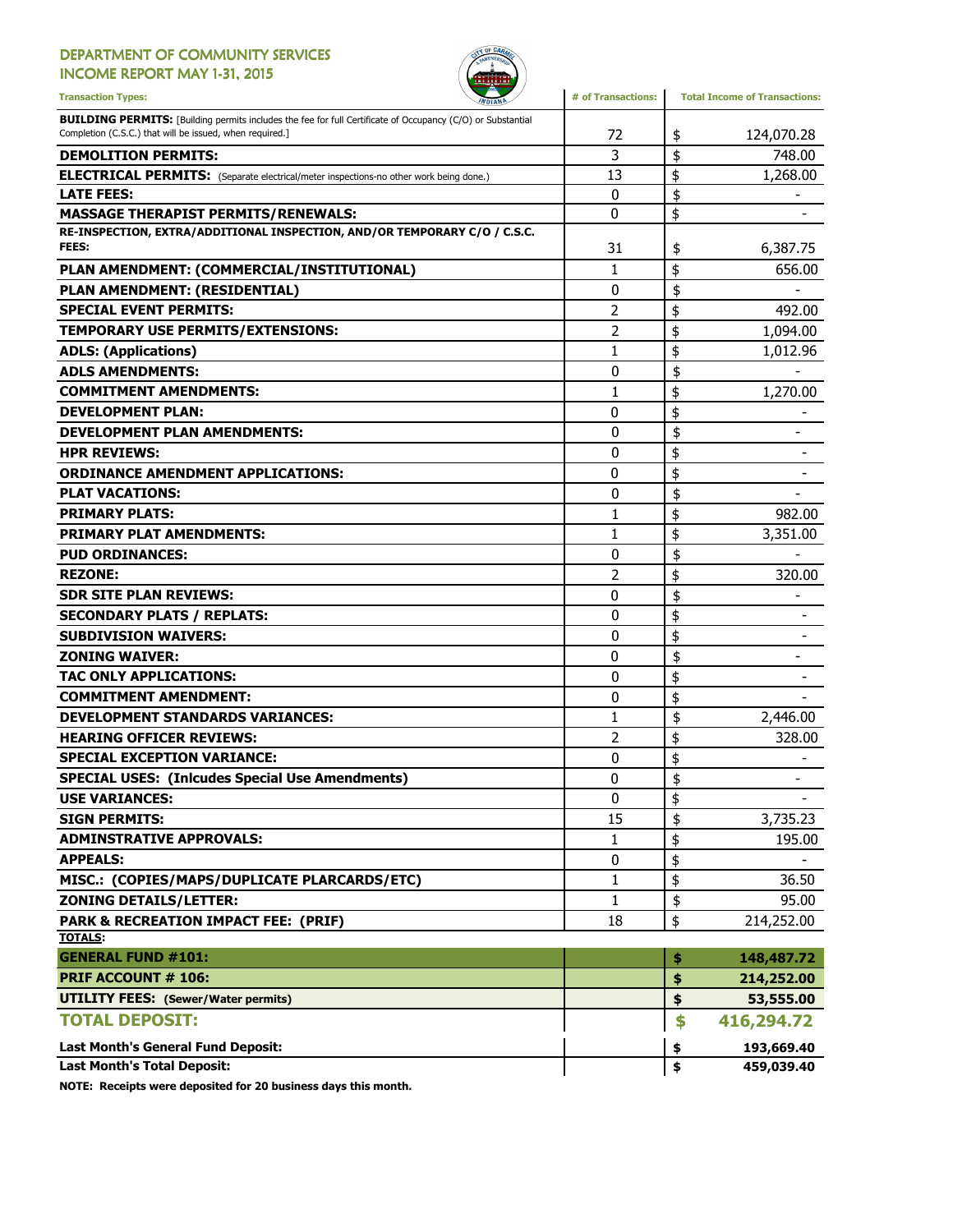#### DEPARTMENT OF COMMUNITY SERVICES INCOME REPORT MAY 1-31, 2015



Transaction Types: **All any of Transactions** and the *Minimality* and **#** of Transactions: Total Income of Transactions: **BUILDING PERMITS:** [Building permits includes the fee for full Certificate of Occupancy (C/O) or Substantial Completion (C.S.C.) that will be issued, when required.] 72 124,070.28 DEMOLITION PERMITS: 3 748.00 \$ ELECTRICAL PERMITS: (Separate electrical/meter inspections-no other work being done.) | 13 | \$ 1,268.00 LATE FEES:  $\begin{array}{ccccccc} & & & & & & \text{if} & & \text{if} & \text{if} & \text{if} & \text{if} & \text{if} & \text{if} & \text{if} & \text{if} & \text{if} & \text{if} & \text{if} & \text{if} & \text{if} & \text{if} & \text{if} & \text{if} & \text{if} & \text{if} & \text{if} & \text{if} & \text{if} & \text{if} & \text{if} & \text{if} & \text{if} & \text{if} & \text{if} & \text{if} & \text{if} & \text{if} & \text{if} & \text$ MASSAGE THERAPIST PERMITS/RENEWALS:  $\begin{array}{ccc} 0 & 1 \end{array}$   $\begin{array}{ccc} \end{array}$ RE-INSPECTION, EXTRA/ADDITIONAL INSPECTION, AND/OR TEMPORARY C/O / C.S.C. **FEES:** 6,387.75 PLAN AMENDMENT: (COMMERCIAL/INSTITUTIONAL)  $\begin{array}{ccc} | & 1 & | \$ \$ 656.00 PLAN AMENDMENT: (RESIDENTIAL)  $\begin{array}{ccc} & & | & 0 & | \; \$ & & \; \text{---} \end{array}$ SPECIAL EVENT PERMITS:  $\begin{array}{ccc} & 2 & | \text{ } \text{ } & 492.00 \\ \end{array}$ TEMPORARY USE PERMITS/EXTENSIONS: 2 \$ 1,094.00 ADLS: (Applications)  $\begin{array}{ccc} 1 & 1 & 1 \\ 1 & 1 & 1 \end{array}$   $\begin{array}{ccc} 1,012.96 & 1,012.96 \end{array}$ ADLS AMENDMENTS:  $\begin{array}{ccc} 0 & \text{ } \end{array}$ **COMMITMENT AMENDMENTS:**  $\begin{array}{ccc} 1 & 1 & 1 \\ 1 & 1 & 1 \end{array}$  1,270.00 DEVELOPMENT PLAN:  $\begin{array}{ccc} 0 & | \; \$ & \end{array}$ DEVELOPMENT PLAN AMENDMENTS:  $\begin{array}{ccc} & & & \ & & \text{ } & 0 & \end{array}$   $\uparrow$   $\uparrow$ HPR REVIEWS:  $\begin{array}{ccc} & & & \text{ } & & \text{ } \\ \text{} & & \text{ } & \text{ } & \text{ } & \text{ } & \text{ } \end{array}$ ORDINANCE AMENDMENT APPLICATIONS:  $\begin{array}{ccc} 0 & \ {\color{red} \S} & \end{array}$ PLAT VACATIONS: 0 - \$ **PRIMARY PLATS:** 982.00 **PRIMARY PLAT AMENDMENTS:**  $\begin{array}{ccc} 1 & 1 & 1 \\ 3 & 3.351.00 \end{array}$ PUD ORDINANCES:  $\begin{array}{ccc} & & & \ & & \ & & \ & & 0 & \end{array}$ REZONE: 2 \$ 320.00 SDR SITE PLAN REVIEWS:  $\begin{array}{ccc} & 0 & 1 \end{array}$ SECONDARY PLATS / REPLATS: 0 \$ - SUBDIVISION WAIVERS:  $\begin{array}{ccc} 0 & & \pm \end{array}$ **ZONING WAIVER:**  $\begin{array}{ccc} 0 & | & \text{\textsterling}} & 0 & | & \text{\textsterling}} \end{array}$ TAC ONLY APPLICATIONS:  $\begin{array}{ccc} & & & & 0 & \ {\mathbb{S}} & & \ {\mathbb{S}} & & \ {\mathbb{S}} & & \ {\mathbb{S}} & & \end{array}$  $\begin{array}{ccc} \textbf{COMMITMENT} & \textbf{S} & \textbf{S} \ \textbf{S} & \textbf{S} & \textbf{S} \end{array}$ DEVELOPMENT STANDARDS VARIANCES:  $\begin{array}{ccc} 1 & 1 & 1 \\ 2 & 446.00 & 1 \end{array}$ HEARING OFFICER REVIEWS:  $\begin{array}{ccc} & 328.00 \\ & 2 & 5 \end{array}$  328.00 SPECIAL EXCEPTION VARIANCE: 0 \$ - SPECIAL USES: (Inlcudes Special Use Amendments) -USE VARIANCES:  $\begin{array}{ccc} 0 & \frac{1}{3} & \frac{1}{2} & \frac{1}{2} & \frac{1}{2} & \frac{1}{2} & \frac{1}{2} & \frac{1}{2} & \frac{1}{2} & \frac{1}{2} & \frac{1}{2} & \frac{1}{2} & \frac{1}{2} & \frac{1}{2} & \frac{1}{2} & \frac{1}{2} & \frac{1}{2} & \frac{1}{2} & \frac{1}{2} & \frac{1}{2} & \frac{1}{2} & \frac{1}{2} & \frac{1}{2} & \frac{1}{2} & \frac{1}{2} & \frac{$ **SIGN PERMITS:**  $\begin{array}{ccc} 3,735.23 \\ 15 \end{array}$  15  $\begin{array}{ccc} 15 \\ 15 \end{array}$  3,735.23 ADMINSTRATIVE APPROVALS:  $\begin{array}{ccc} 1 & 1 & 1 \end{array}$   $\qquad$   $\qquad$   $\qquad$   $\qquad$   $\qquad$   $\qquad$   $\qquad$   $\qquad$   $\qquad$   $\qquad$   $\qquad$   $\qquad$   $\qquad$   $\qquad$   $\qquad$   $\qquad$   $\qquad$   $\qquad$   $\qquad$   $\qquad$   $\qquad$   $\qquad$   $\qquad$   $\qquad$   $\qquad$   $\qquad$   $\qquad$   $\qquad$   $\qquad$  $\begin{array}{ccc} \textbf{APPEALS:} \end{array}$ MISC.: (COPIES/MAPS/DUPLICATE PLARCARDS/ETC) 1 \$ 36.50 **ZONING DETAILS/LETTER:**  $\begin{array}{ccc} 1 & 1 & 1 \\ 95.00 & 1 \end{array}$ **PARK & RECREATION IMPACT FEE: (PRIF)** 18 18 18 214,252.00 TOTALS: GENERAL FUND #101: \$ 148,487.72 PRIF ACCOUNT # 106: **\$** 214,252.00 UTILITY FEES: (Sewer/Water permits) 6. The set of the set of the set of the set of the set of the set of the set of the set of the set of the set of the set of the set of the set of the set of the set of the set of the set TOTAL DEPOSIT: \$ 416,294.72 Last Month's General Fund Deposit: \$ 193,669.40

Last Month's Total Deposit: the control of the control of the control of the control of the control of the control of the control of the control of the control of the control of the control of the control of the control of

NOTE: Receipts were deposited for 20 business days this month.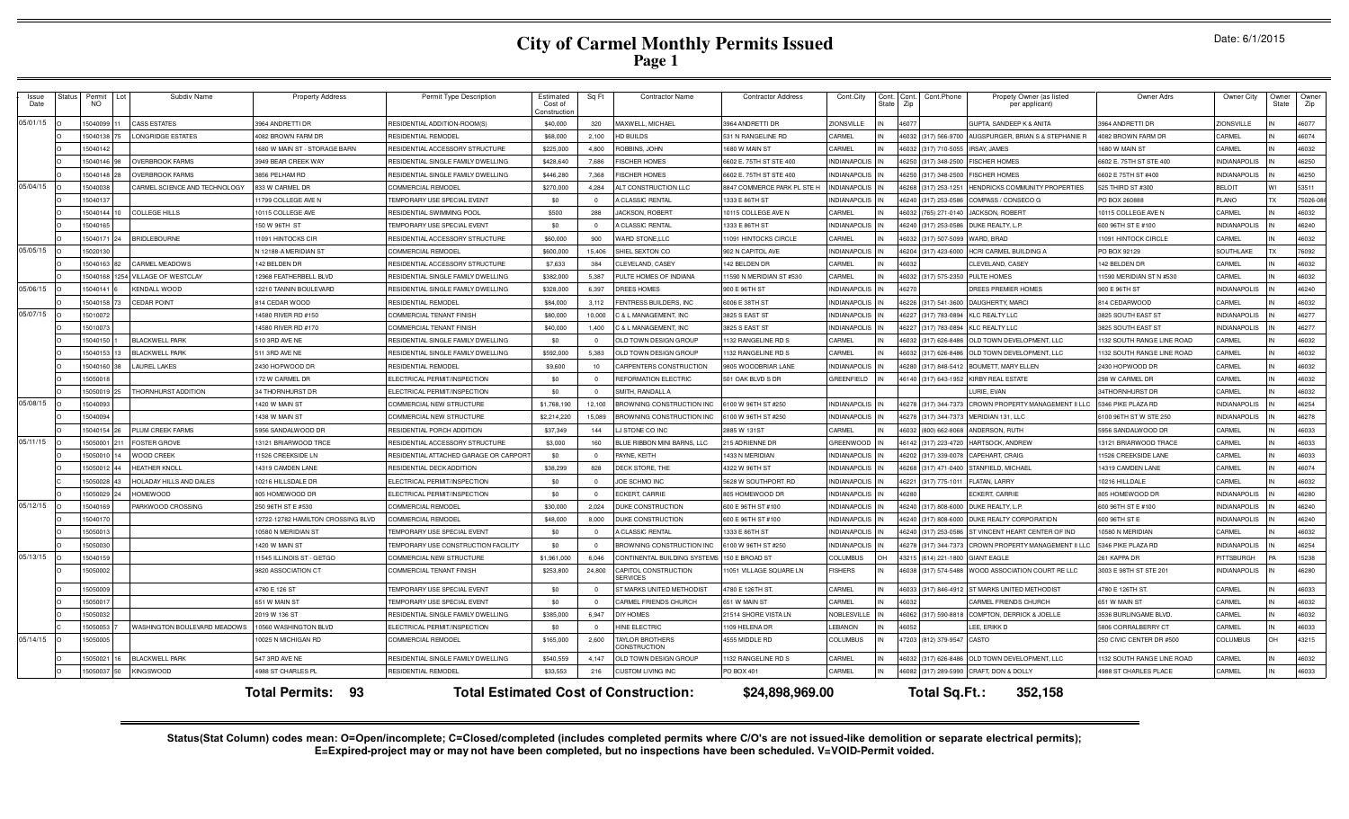# **City of Carmel Monthly Permits Issued Page 1**

| Date: 6/1/2015 |  |  |
|----------------|--|--|
|                |  |  |

| Issue<br>status<br>Date | Permit<br><b>NO</b> | Subdiv Name                   | <b>Property Address</b>            | Permit Type Description               | Estimated<br>Cost of<br>Constructio | Sq Ft        | <b>Contractor Name</b>                       | <b>Contractor Address</b>   | Cont.City           | Cont.<br><b>State</b> | Cont.<br>Zip | Cont.Phone           | Propety Owner (as listed<br>per applicant)  | Owner Adrs                   | Owner City          | Owner<br>State | Owner<br>Zip |
|-------------------------|---------------------|-------------------------------|------------------------------------|---------------------------------------|-------------------------------------|--------------|----------------------------------------------|-----------------------------|---------------------|-----------------------|--------------|----------------------|---------------------------------------------|------------------------------|---------------------|----------------|--------------|
| 05/01/15                | 5040099             | <b>CASS ESTATES</b>           | 3964 ANDRETTI DR                   | RESIDENTIAL ADDITION-ROOM(S)          | \$40,000                            | 320          | MAXWELL, MICHAEL                             | 3964 ANDRETTI DR            | ZIONSVILLE          |                       | 46077        |                      | GUPTA, SANDEEP K & ANITA                    | 3964 ANDRETTI DR             | ZIONSVILLE          |                | 46077        |
|                         | 15040138            | LONGRIDGE ESTATES             | 4082 BROWN FARM DR                 | RESIDENTIAL REMODEL                   | \$68,000                            | 2,100        | HD BUILDS                                    | 531 N RANGELINE RD          | CARMEL              |                       |              | 46032 (317) 566-9700 | AUGSPURGER, BRIAN S & STEPHANIE R           | 4082 BROWN FARM DR           | CARMEL              |                | 46074        |
|                         | 15040142            |                               | 1680 W MAIN ST - STORAGE BARN      | RESIDENTIAL ACCESSORY STRUCTURE       | \$225,000                           | 4.800        | <b>OBBINS, JOHN</b>                          | 1680 W MAIN ST              | CARMEL              |                       |              | 46032 (317) 710-5055 | RSAY, JAMES                                 | 1680 W MAIN ST               | CARMEL              |                | 46032        |
|                         | 15040146            | <b>OVERBROOK FARMS</b>        | 3949 BEAR CREEK WAY                | RESIDENTIAL SINGLE FAMILY DWELLING    | \$428,640                           | 7.686        | <b>ISCHER HOMES</b>                          | 6602 E. 75TH ST STE 400     | <b>INDIANAPOLIS</b> |                       | 46250        | (317) 348-2500       | <b>ISCHER HOMES</b>                         | 6602 E. 75TH ST STE 400      | <b>INDIANAPOLIS</b> |                | 46250        |
|                         | 15040148            | <b>OVERBROOK FARMS</b>        | 3856 PELHAM RD                     | RESIDENTIAL SINGLE FAMILY DWELLING    | \$446,280                           | 7,368        | <b>ISCHER HOMES</b>                          | 6602 E. 75TH ST STE 400     | NDIANAPOLIS         |                       | 16250        | (317) 348-2500       | <b>ISCHER HOMES</b>                         | 6602 E 75TH ST #400          | <b>INDIANAPOLIS</b> |                | 46250        |
| 05/04/15                | 1504003             | CARMEL SCIENCE AND TECHNOLOGY | 833 W CARMEL DR                    | COMMERCIAL REMODEL                    | \$270,000                           | 4,284        | ALT CONSTRUCTION LLC                         | 8847 COMMERCE PARK PL STE H | NDIANAPOLIS         |                       | 16268        | (317) 253-1251       | <b>IENDRICKS COMMUNITY PROPERTIES</b>       | 525 THIRD ST #300            | <b>BELOIT</b>       |                | 53511        |
|                         | 1504013             |                               | 11799 COLLEGE AVE N                | <b>FEMPORARY USE SPECIAL EVENT</b>    | \$0                                 |              | <b>A CLASSIC RENTAL</b>                      | 1333 E 86TH ST              | <b>NDIANAPOLIS</b>  |                       | 16240        | 317) 253-0586        | OMPASS / CONSECO G                          | PO BOX 26088                 | <b>PLANO</b>        |                | 75026-08     |
|                         | 1504014             | <b>COLLEGE HILLS</b>          | 10115 COLLEGE AVE                  | RESIDENTIAL SWIMMING POOL             | \$500                               | 288          | JACKSON, ROBERT                              | 10115 COLLEGE AVE N         | CARMEL              |                       |              | 765) 271-0140        | <b>ACKSON, ROBERT</b>                       | 10115 COLLEGE AVE N          | CARMEL              |                | 46032        |
|                         | 504016              |                               | 150 W 96TH ST                      | EMPORARY USE SPECIAL EVENT            | \$0                                 |              | CLASSIC RENTAL                               | 1333 E 86TH ST              | <b>VDIANAPOLIS</b>  |                       | 6240         | 317) 253-0586        | JUKE REALTY, L.P.                           | 600 96TH ST E #100           | <b>VDIANAPOLIS</b>  |                | 46240        |
|                         | 15040171            | BRIDLEBOURNE                  | 11091 HINTOCKS CIR                 | RESIDENTIAL ACCESSORY STRUCTURE       | \$60,000                            | 900          | <b>WARD STONE,LLC</b>                        | 11091 HINTOCKS CIRCLE       | CARMEL              |                       | 6032         | (317) 507-5099       | WARD, BRAD                                  | 1091 HINTOCK CIRCLE          | CARMEL              |                | 46032        |
| 05/05/15                | 5020130             |                               | N 12188-A MERIDIAN ST              | COMMERCIAL REMODEL                    | \$600,000                           | 15,406       | SHIEL SEXTON CO                              | 902 N CAPITOL AVE           | <b>INDIANAPOLIS</b> | IN                    | 46204        | (317) 423-6000       | HCRI CARMEL BUILDING A                      | PO BOX 92129                 | SOUTHLAKE           |                | 76092        |
|                         | 5040163<br>82       | <b>CARMEL MEADOWS</b>         | 142 BELDEN DR                      | RESIDENTIAL ACCESSORY STRUCTURE       | \$7,633                             | 384          | CLEVELAND, CASEY                             | 142 BELDEN DR               | CARMEL              |                       | 46032        |                      | CLEVELAND, CASEY                            | 142 BELDEN DR                | CARMEL              |                | 46032        |
|                         | 15040168            | 1254 VILLAGE OF WESTCLAY      | 12968 FEATHERBELL BLVD             | RESIDENTIAL SINGLE FAMILY DWELLING    | \$382,000                           | 5,387        | PULTE HOMES OF INDIANA                       | 11590 N MERIDIAN ST #530    | CARMEL              |                       |              | 46032 (317) 575-2350 | PULTE HOMES                                 | 11590 MERIDIAN ST N #530     | CARMEL              |                | 46032        |
| 05/06/15                | 15040141            | <b>KENDALL WOOD</b>           | 12210 TANNIN BOULEVARD             | RESIDENTIAL SINGLE FAMILY DWELLING    | \$328,000                           | 6,397        | <b>DREES HOMES</b>                           | 900 E 96TH ST               | <b>INDIANAPOLIS</b> |                       | 46270        |                      | DREES PREMIER HOMES                         | 900 E 96TH ST                | <b>INDIANAPOLIS</b> |                | 46240        |
|                         | 5040158             | <b>CEDAR POINT</b>            | 814 CEDAR WOOD                     | <b>RESIDENTIAL REMODEI</b>            | \$84,000                            | 3.112        | <b>ENTRESS BUILDERS, INC</b>                 | 6006 E 38TH ST              | <b>INDIANAPOLIS</b> |                       | 46226        | (317) 541-3600       | DAUGHERTY, MARCI                            | 814 CEDARWOOD                | CARMEL              |                | 46032        |
| 05/07/15                | 501007              |                               | 14580 RIVER RD #150                | COMMERCIAL TENANT FINISH              | \$80,000                            | 10,000       | & L MANAGEMENT. INC                          | 3825 S EAST ST              | <b>INDIANAPOLIS</b> |                       | 16227        | (317) 783-0894       | LC REALTY LLC                               | 3825 SOUTH EAST ST           | <b>INDIANAPOLIS</b> |                | 46277        |
|                         | 1501007             |                               | 14580 RIVER RD #170                | COMMERCIAL TENANT FINISH              | \$40,000                            | 1,400        | 3 & L MANAGEMENT, INC                        | 3825 S EAST ST              | <b>INDIANAPOLIS</b> |                       | 46227        | (317) 783-0894       | LC REALTY LLC                               | 3825 SOUTH EAST ST           | <b>INDIANAPOLIS</b> |                | 46277        |
|                         | 504015              | <b>BLACKWELL PARK</b>         | 510 3RD AVE NE                     | RESIDENTIAL SINGLE FAMILY DWELLING    | \$0                                 |              | <b>DLD TOWN DESIGN GROUP</b>                 | 1132 RANGELINE RD S         | CARMEI              |                       | 6032         | 317) 626-8486        | <b>ILD TOWN DEVELOPMENT, LLC</b>            | 1132 SOUTH RANGE LINE ROAD   | CARMEL              |                | 46032        |
|                         | 504015              | <b>BLACKWELL PARK</b>         | 511 3RD AVE NE                     | RESIDENTIAL SINGLE FAMILY DWELLING    | \$592,000                           | 5.383        | <b>DLD TOWN DESIGN GROUI</b>                 | 1132 RANGELINE RD 9         | CARMEL              |                       |              | 317) 626-8486        | <b>ILD TOWN DEVELOPMENT, LLC</b>            | 1132 SOUTH RANGE LINE ROAD   | CARMEL              |                | 46032        |
|                         | 15040160            | <b>LAUREL LAKES</b>           | 2430 HOPWOOD DR                    | RESIDENTIAI REMODEI                   | \$9,600                             | 10           | <b>ARPENTERS CONSTRUCTION</b>                | 9805 WOODBRIAR LANE         | <b>NDIANAPOLIS</b>  |                       | 6280         | 317) 848-5412        | <b>BOUMETT, MARY ELLEN</b>                  | 2430 HOPWOOD DR              | CARMEL              |                | 46032        |
|                         | 5050018             |                               | 172 W CARMEL DR                    | ELECTRICAL PERMIT/INSPECTION          | \$0                                 | $\Omega$     | REFORMATION ELECTRIC                         | 501 OAK BLVD S DR           | <b>GREENFIELD</b>   |                       | 46140        | (317) 643-1952       | <b>(IRBY REAL ESTATE</b>                    | 298 W CARMEL DR              | CARMEL              |                | 46032        |
|                         | 15050019            | THORNHURST ADDITION           | 34 THORNHURST DR                   | ELECTRICAL PERMIT/INSPECTION          | \$0                                 | $\Omega$     | SMITH, RANDALL A                             |                             |                     |                       |              |                      | URIE, EVAN                                  | 34THORNHURST DR              | CARMEL              |                | 46032        |
| 05/08/15                | 15040093            |                               | 1420 W MAIN ST                     | COMMERCIAL NEW STRUCTURE              | \$1,768,190                         | 12.100       | <b>BROWNING CONSTRUCTION INC.</b>            | 6100 W 96TH ST #250         | <b>INDIANAPOLIS</b> |                       |              | 46278 (317) 344-7373 | CROWN PROPERTY MANAGEMENT II LLC            | 5346 PIKE PLAZA RD           | <b>INDIANAPOLIS</b> |                | 46254        |
|                         | 15040094            |                               | 1438 W MAIN ST                     | COMMERCIAL NEW STRUCTURE              | \$2,214,220                         | 15,089       | BROWNING CONSTRUCTION INC                    | 6100 W 96TH ST #250         | <b>INDIANAPOLIS</b> |                       | 46278        | (317) 344-7373       | MERIDIAN 131, LLC                           | 6100 96TH ST W STE 250       | <b>INDIANAPOLIS</b> |                | 46278        |
|                         | 15040154            | PLUM CREEK FARMS              | 5956 SANDALWOOD DR                 | RESIDENTIAL PORCH ADDITION            | \$37,349                            | 144          | <b>J STONE CO INC</b>                        | 2885 W 131ST                | CARMEL              |                       | 46032        | (800) 662-8068       | ANDERSON, RUTH                              | 5956 SANDALWOOD DR           | CARMEL              |                | 46033        |
| 05/11/15                | 5050001             | <b>FOSTER GROVE</b>           | 13121 BRIARWOOD TRCE               | RESIDENTIAL ACCESSORY STRUCTURE       | \$3,000                             | 160          | BLUE RIBBON MINI BARNS, LLC                  | 215 ADRIENNE DR             | GREENWOOD           |                       |              | 46142 (317) 223-4720 | <b>HARTSOCK, ANDREW</b>                     | 13121 BRIARWOOD TRACE        | CARMEL              |                | 46033        |
|                         | 505001              | <b>WOOD CREEK</b>             | 11526 CREEKSIDE LN                 | RESIDENTIAL ATTACHED GARAGE OR CARPOR | \$0                                 | $\Omega$     | PAYNE, KEITH                                 | 1433 N MERIDIAN             | <b>INDIANAPOLIS</b> |                       | 16202        | (317) 339-0078       | APEHART, CRAIG                              | 11526 CREEKSIDE LANE         | CARMEL              |                | 46033        |
|                         | 1505001             | <b>HEATHER KNOLL</b>          | 14319 CAMDEN LANE                  | RESIDENTIAL DECK ADDITION             | \$38,299                            | 828          | DECK STORE, THE                              | 4322 W 96TH ST              | <b>INDIANAPOLIS</b> |                       | 16268        | 317) 471-0400        | <b>TANFIELD, MICHAEL</b>                    | 14319 CAMDEN LANE            | CARMEL              |                | 46074        |
|                         | 505002              | HOLADAY HILLS AND DALES       | 10216 HILLSDALE DR                 | ELECTRICAL PERMIT/INSPECTION          | \$0                                 | $\mathbf{0}$ | JOE SCHMO INC                                | 5628 W SOUTHPORT RD         | <b>INDIANAPOLIS</b> |                       | 16221        | (317) 775-101        | LATAN, LARRY                                | 10216 HILLDALE               | CARMEL              |                | 46032        |
|                         | 5050029             | <b>HOMEWOOD</b>               | 805 HOMEWOOD DF                    | ELECTRICAL PERMIT/INSPECTION          | \$0                                 | $\Omega$     | <b>ECKERT, CARRIE</b>                        | 805 HOMEWOOD DR             | <b>NDIANAPOLIS</b>  |                       | 6280         |                      | CKERT, CARRIE                               | 805 HOMEWOOD DR              | <b>NDIANAPOLIS</b>  |                | 46280        |
| 05/12/15                | 504016              | PARKWOOD CROSSING             | 250 96TH ST E #530                 | COMMERCIAL REMODEL                    | \$30,000                            | 2.024        | <b>UKE CONSTRUCTION</b>                      | 600 E 96TH ST #100          | <b>NDIANAPOLIS</b>  |                       |              | 46240 (317) 808-6000 | OUKE REALTY, L.P.                           | 600 96TH ST E #100           | <b>NDIANAPOLIS</b>  |                | 46240        |
|                         | 5040170             |                               | 12722-12782 HAMILTON CROSSING BLVD | <b>COMMERCIAL REMODEL</b>             | \$48,000                            | 8.000        | <b>UKE CONSTRUCTION</b>                      | 600 E 96TH ST #100          | <b>NDIANAPOLIS</b>  |                       | 16240        | (317) 808-6000       | DUKE REALTY CORPORATION                     | 600 96TH ST E                | <b>NDIANAPOLIS</b>  |                | 46240        |
|                         | 15050013            |                               | 10580 N MERIDIAN ST                | <b>FEMPORARY USE SPECIAL EVENT</b>    | \$0                                 | $\Omega$     | A CLASSIC RENTAL                             | 1333 E 86TH ST              | INDIANAPOLIS        |                       |              | 46240 (317) 253-0586 | T VINCENT HEART CENTER OF IND               | 10580 N MERIDIAN             | CARMEL              |                | 46032        |
|                         | 5050030             |                               | 1420 W MAIN ST                     | TEMPORARY USE CONSTRUCTION FACILITY   | \$0                                 | $\Omega$     | <b>BROWNING CONSTRUCTION INC</b>             | 6100 W 96TH ST #250         | <b>INDIANAPOLIS</b> |                       | 46278        | (317) 344-7373       | <b>ROWN PROPERTY MANAGEMENT II LLC</b>      | 5346 PIKE PLAZA RD           | <b>INDIANAPOLIS</b> |                | 46254        |
| 05/13/15                | 504015              |                               | 11545 ILLINOIS ST - GETGO          | COMMERCIAL NEW STRUCTURE              | \$1,961,000                         | 6.046        | CONTINENTAL BUILDING SYSTEMS 150 E BROAD ST  |                             | <b>COLUMBUS</b>     | OН                    |              | 43215 (614) 221-1800 | <b>HANT EAGLE</b>                           | 261 KAPPA DR                 | PITTSBURGH          |                | 15238        |
|                         | 15050002            |                               | 9820 ASSOCIATION CT                | COMMERCIAL TENANT FINISH              | \$253,800                           | 24,800       | CAPITOL CONSTRUCTION<br><b>SERVICES</b>      | 11051 VILLAGE SQUARE LN     | <b>ISHERS</b>       | IN                    |              | 46038 (317) 574-5488 | <b><i>NOOD ASSOCIATION COURT RE LLC</i></b> | 3003 E 98TH ST STE 201       | <b>INDIANAPOLIS</b> |                | 46280        |
|                         | 505000              |                               | 4780 E 126 ST                      | <b>FEMPORARY USE SPECIAL EVENT</b>    | \$0                                 |              | <b>ST MARKS UNITED METHODIST</b>             | 4780 E 126TH ST             | CARMEL              |                       | 16033        | 317) 846-4912        | <b>ST MARKS UNITED METHODIST</b>            | 4780 E 126TH ST              | CARMEL              |                | 46033        |
|                         | 1505001             |                               | 651 W MAIN ST                      | <b>FMPORARY USE SPECIAL EVENT</b>     | \$0                                 |              | <b>ARMEL FRIENDS CHURCH</b>                  | 651 W MAIN ST               | CARMEL              |                       | 6032         |                      | <b>ARMEL FRIENDS CHURCH</b>                 | 651 W MAIN ST                | CARMEL              |                | 46032        |
|                         | 5050032             |                               | 2019 W 136 ST                      | RESIDENTIAL SINGLE FAMILY DWELLING    | \$385,000                           | 6.947        | DIY HOMES                                    | 21514 SHORE VISTA LN        | NOBLESVILLE         |                       |              | 6062 (317) 590-8818  | COMPTON, DERRICK & JOELLE                   | 3536 BURLINGAME BLVD.        | ARMEL               |                | 46032        |
|                         | 15050053            | WASHINGTON BOULEVARD MEADOWS  | 10560 WASHINGTON BLVD              | ELECTRICAL PERMIT/INSPECTION          | \$0                                 | $\Omega$     | <b>HINE ELECTRIC</b>                         | 1109 HELENA DR              | LEBANON             |                       | 46052        |                      | EE. ERIKK D                                 | 5806 CORRALBERRY CT          | CARMEL              |                | 46033        |
| 05/14/15                | 15050005            |                               | 10025 N MICHIGAN RD                | COMMERCIAL REMODEL                    | \$165,000                           | 2,600        | TAYLOR BROTHERS<br><b>CONSTRUCTION</b>       | 4555 MIDDLE RD              | <b>COLUMBUS</b>     |                       |              | 47203 (812) 379-9547 | <b>CASTO</b>                                | 250 CIVIC CENTER DR #500     | <b>COLUMBUS</b>     | OH             | 43215        |
|                         | 505002              | <b>BLACKWELL PARK</b>         | 547 3RD AVE NE                     | RESIDENTIAL SINGLE FAMILY DWELLING    | \$540,559                           | 4.147        | <b>DLD TOWN DESIGN GROUP</b>                 | 1132 RANGELINE RD S         | CARMEL              |                       | 46032        | (317) 626-8486       | <b>DLD TOWN DEVELOPMENT, LLC</b>            | 1132 SOUTH RANGE LINE ROAD   | CARMEL              |                | 46032        |
|                         | 505003              | KINGSWOOL                     | 1988 ST CHARLES PL                 | RESIDENTIAL REMODEL                   | \$33,553                            | 216          | CUSTOM LIVING INC                            | PO BOX 401                  | CARMEL              |                       | \$6081       | 317) 289-5990        | CRAFT, DON & DOLLY                          | <b>1988 ST CHARLES PLACE</b> | CARMEL              |                | 46033        |
|                         |                     |                               | -93<br><b>Total Permits:</b>       |                                       |                                     |              | <b>Total Estimated Cost of Construction:</b> | \$24,898,969.00             |                     |                       |              | Total Sq.Ft.:        | 352.158                                     |                              |                     |                |              |

Status(Stat Column) codes mean: O=Open/incomplete; C=Closed/completed (includes completed permits where C/O's are not issued-like demolition or separate electrical permits);<br>E=Expired-project may or may not have been compl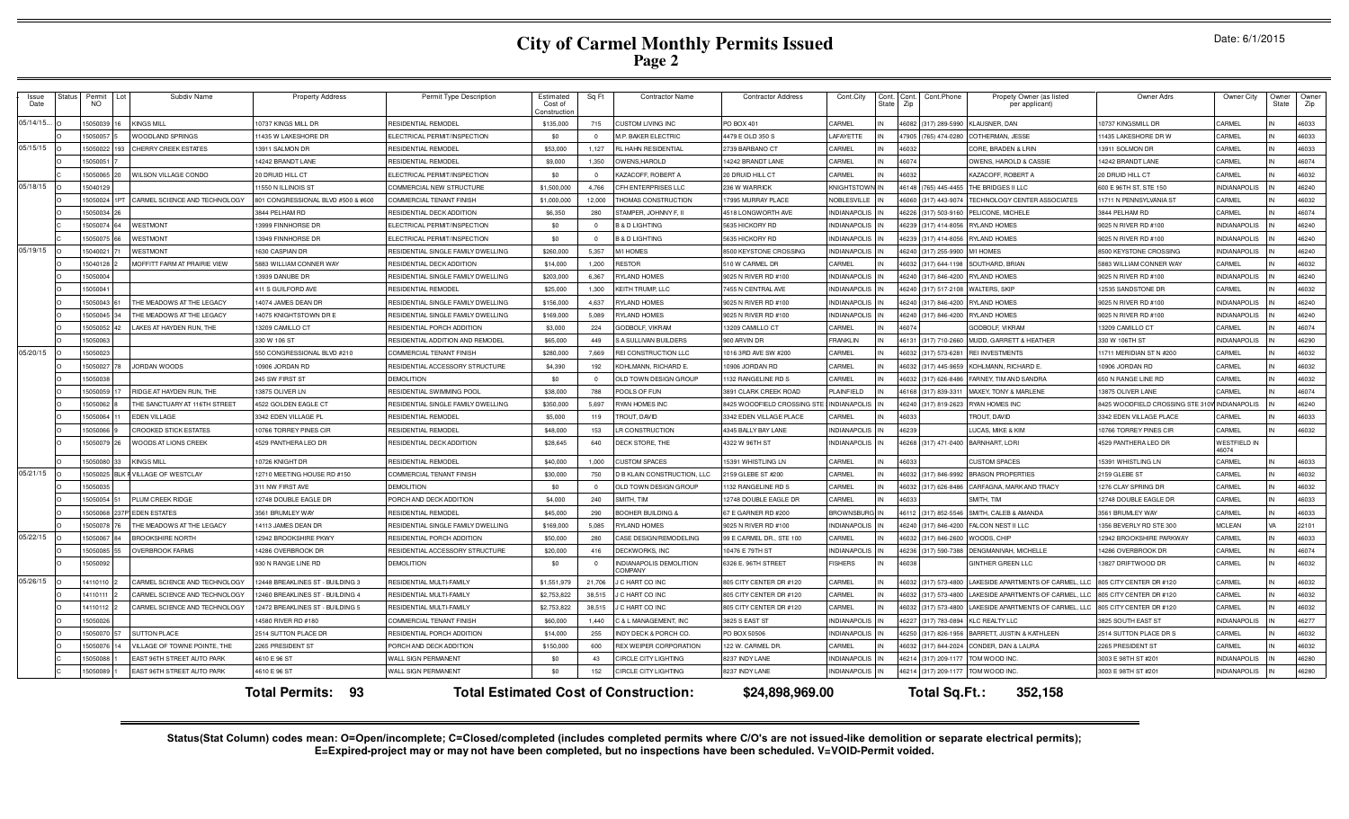### **City of Carmel Monthly Permits IssuedPage 2**

**Total Permits: Total Estimated Cost of Construction: 93 \$24,898,969.00 Total Sq.Ft.: 352,158**-- Issue Date Status Permit NO Lot Subdiv Name Property Address Permit Type Description Estimated Cost of Construction Sq Ft Contractor Name Contractor Address Cont.City Cont. State Cont. Zip Cont.Phone Propety Owner (as listed per applicant) Owner Adrs Owner City Owner State Owner Zip 05/14/15... <sup>O</sup> <sup>15050039</sup> <sup>16</sup> KINGS MILL 10737 KINGS MILL DR RESIDENTIAL REMODEL \$135,000 <sup>715</sup> CUSTOM LIVING INC PO BOX 401 CARMEL IN <sup>46082</sup> (317) 289-5990 KLAUSNER, DAN 10737 KINGSMILL DR CARMEL IN <sup>46033</sup> <sup>O</sup> <sup>15050057</sup> <sup>5</sup> WOODLAND SPRINGS 11435 W LAKESHORE DR ELECTRICAL PERMIT/INSPECTION \$0 <sup>0</sup> M.P. BAKER ELECTRIC 4479 E OLD 350 S LAFAYETTE IN <sup>47905</sup> (765) 474-0280 COTHERMAN, JESSE 11435 LAKESHORE DR W CARMEL IN <sup>46033</sup> 05/15/15 <sup>O</sup> <sup>15050022</sup> <sup>193</sup> CHERRY CREEK ESTATES 13911 SALMON DR RESIDENTIAL REMODEL \$53,000 1,127 RL HAHN RESIDENTIAL 2739 BARBANO CT CARMEL IN <sup>46032</sup> CORE, BRADEN & LRIN 13911 SOLMON DR CARMEL IN <sup>46033</sup> <sup>O</sup> <sup>15050051</sup> <sup>7</sup> 14242 BRANDT LANE RESIDENTIAL REMODEL \$9,000 1,350 OWENS,HAROLD 14242 BRANDT LANE CARMEL IN <sup>46074</sup> OWENS, HAROLD & CASSIE 14242 BRANDT LANE CARMEL IN <sup>46074</sup> <sup>C</sup> <sup>15050065</sup> <sup>20</sup> WILSON VILLAGE CONDO 20 DRUID HILL CT ELECTRICAL PERMIT/INSPECTION \$0 <sup>0</sup> KAZACOFF, ROBERT A 20 DRUID HILL CT CARMEL IN <sup>46032</sup> KAZACOFF, ROBERT A 20 DRUID HILL CT CARMEL IN <sup>46032</sup> 05/18/15 <sup>O</sup> <sup>15040129</sup> 11550 N ILLINOIS ST COMMERCIAL NEW STRUCTURE \$1,500,000 4,766 CFH ENTERPRISES LLC 236 W WARRICK KNIGHTSTOWN IN <sup>46148</sup> (765) 445-4455 THE BRIDGES II LLC 600 E 96TH ST, STE 150 INDIANAPOLIS IN <sup>46240</sup> <sup>O</sup> <sup>15050024</sup> 1PT CARMEL SCIENCE AND TECHNOLOGY 801 CONGRESSIONAL BLVD #500 & #600 COMMERCIAL TENANT FINISH \$1,000,000 12,000 THOMAS CONSTRUCTION 17995 MURRAY PLACE NOBLESVILLE IN <sup>46060</sup> (317) 443-9074 TECHNOLOGY CENTER ASSOCIATES 11711 N PENNSYLVANIA ST CARMEL IN <sup>46032</sup> <sup>O</sup> <sup>15050034</sup> <sup>26</sup> 3844 PELHAM RD RESIDENTIAL DECK ADDITION \$6,350 <sup>280</sup> STAMPER, JOHNNY F, II 4518 LONGWORTH AVE INDIANAPOLIS IN <sup>46226</sup> (317) 503-9160 PELICONE, MICHELE 3844 PELHAM RD CARMEL IN <sup>46074</sup> <sup>C</sup> <sup>15050074</sup> <sup>64</sup> WESTMONT 13999 FINNHORSE DR ELECTRICAL PERMIT/INSPECTION \$0 <sup>0</sup> B & D LIGHTING 5635 HICKORY RD INDIANAPOLIS IN <sup>46239</sup> (317) 414-8056 RYLAND HOMES 9025 N RIVER RD #100 INDIANAPOLIS IN <sup>46240</sup> <sup>C</sup> <sup>15050075</sup> <sup>66</sup> WESTMONT 13949 FINNHORSE DR ELECTRICAL PERMIT/INSPECTION \$0 <sup>0</sup> B & D LIGHTING 5635 HICKORY RD INDIANAPOLIS IN <sup>46239</sup> (317) 414-8056 RYLAND HOMES 9025 N RIVER RD #100 INDIANAPOLIS IN <sup>46240</sup> 05/19/15 <sup>O</sup> <sup>15040021</sup> <sup>71</sup> WESTMONT 1630 CASPIAN DR RESIDENTIAL SINGLE FAMILY DWELLING \$260,000 5,357 M/I HOMES 8500 KEYSTONE CROSSING INDIANAPOLIS IN <sup>46240</sup> (317) 255-9900 M/I HOMES 8500 KEYSTONE CROSSING INDIANAPOLIS IN <sup>46240</sup> <sup>O</sup> <sup>15040128</sup> <sup>2</sup> MOFFITT FARM AT PRAIRIE VIEW 5883 WILLIAM CONNER WAY RESIDENTIAL DECK ADDITION \$14,000 1,200 RESTOR 510 W CARMEL DR CARMEL IN <sup>46032</sup> (317) 644-1198 SOUTHARD, BRIAN 5883 WILLIAM CONNER WAY CARMEL IN <sup>46032</sup> <sup>O</sup> <sup>15050004</sup> 13939 DANUBE DR RESIDENTIAL SINGLE FAMILY DWELLING \$203,000 6,367 RYLAND HOMES 9025 N RIVER RD #100 INDIANAPOLIS IN <sup>46240</sup> (317) 846-4200 RYLAND HOMES 9025 N RIVER RD #100 INDIANAPOLIS IN <sup>46240</sup> <sup>O</sup> <sup>15050041</sup> 411 S GUILFORD AVE RESIDENTIAL REMODEL \$25,000 1,300 KEITH TRUMP, LLC 7455 N CENTRAL AVE INDIANAPOLIS IN <sup>46240</sup> (317) 517-2108 WALTERS, SKIP 12535 SANDSTONE DR CARMEL IN <sup>46032</sup> <sup>O</sup> <sup>15050043</sup> <sup>61</sup> THE MEADOWS AT THE LEGACY 14074 JAMES DEAN DR RESIDENTIAL SINGLE FAMILY DWELLING \$156,000 4,637 RYLAND HOMES 9025 N RIVER RD #100 INDIANAPOLIS IN <sup>46240</sup> (317) 846-4200 RYLAND HOMES 9025 N RIVER RD #100 INDIANAPOLIS IN <sup>46240</sup> <sup>O</sup> <sup>15050045</sup> <sup>34</sup> THE MEADOWS AT THE LEGACY 14075 KNIGHTSTOWN DR E RESIDENTIAL SINGLE FAMILY DWELLING \$169,000 5,089 RYLAND HOMES 9025 N RIVER RD #100 INDIANAPOLIS IN <sup>46240</sup> (317) 846-4200 RYLAND HOMES 9025 N RIVER RD #100 INDIANAPOLIS IN <sup>46240</sup> <sup>O</sup> <sup>15050052</sup> <sup>42</sup> LAKES AT HAYDEN RUN, THE 13209 CAMILLO CT RESIDENTIAL PORCH ADDITION \$3,000 <sup>224</sup> GODBOLF, VIKRAM 13209 CAMILLO CT CARMEL IN <sup>46074</sup> GODBOLF, VIKRAM 13209 CAMILLO CT CARMEL IN <sup>46074</sup> <sup>O</sup> <sup>15050063</sup> 330 W 106 ST RESIDENTIAL ADDITION AND REMODEL \$65,000 <sup>449</sup> S A SULLIVAN BUILDERS 900 ARVIN DR FRANKLIN IN <sup>46131</sup> (317) 710-2660 MUDD, GARRETT & HEATHER 330 W 106TH ST INDIANAPOLIS IN <sup>46290</sup> 05/20/15 <sup>O</sup> <sup>15050023</sup> 550 CONGRESSIONAL BLVD #210 COMMERCIAL TENANT FINISH \$280,000 7,669 REI CONSTRUCTION LLC 1016 3RD AVE SW #200 CARMEL IN <sup>46032</sup> (317) 573-6281 REI INVESTMENTS 11711 MERIDIAN ST N #200 CARMEL IN <sup>46032</sup> <sup>O</sup> <sup>15050027</sup> <sup>78</sup> JORDAN WOODS 10906 JORDAN RD RESIDENTIAL ACCESSORY STRUCTURE \$4,390 <sup>192</sup> KOHLMANN, RICHARD E. 10906 JORDAN RD CARMEL IN <sup>46032</sup> (317) 445-9659 KOHLMANN, RICHARD E. 10906 JORDAN RD CARMEL IN <sup>46032</sup> <sup>O</sup> <sup>15050038</sup> 245 SW FIRST ST DEMOLITION \$0 <sup>0</sup> OLD TOWN DESIGN GROUP 1132 RANGELINE RD S CARMEL IN <sup>46032</sup> (317) 626-8486 FARNEY, TIM AND SANDRA 650 N RANGE LINE RD CARMEL IN <sup>46032</sup> <sup>O</sup> <sup>15050059</sup> <sup>17</sup> RIDGE AT HAYDEN RUN, THE 13875 OLIVER LN RESIDENTIAL SWIMMING POOL \$38,000 <sup>788</sup> POOLS OF FUN 3891 CLARK CREEK ROAD PLAINFIELD IN <sup>46168</sup> (317) 839-3311 MAXEY, TONY & MARLENE 13875 OLIVER LANE CARMEL IN <sup>46074</sup> <sup>O</sup> <sup>15050062</sup> <sup>8</sup> THE SANCTUARY AT 116TH STREET 4522 GOLDEN EAGLE CT RESIDENTIAL SINGLE FAMILY DWELLING \$350,000 5,697 RYAN HOMES INC 8425 WOODFIELD CROSSING STE 310W INDIANAPOLIS IN <sup>46240</sup> (317) 819-2623 RYAN HOMES INC 8425 WOODFIELD CROSSING STE 310WINDIANAPOLIS IN <sup>46240</sup> <sup>O</sup> <sup>15050064</sup> <sup>11</sup> EDEN VILLAGE 3342 EDEN VILLAGE PL RESIDENTIAL REMODEL \$5,000 <sup>119</sup> TROUT, DAVID 3342 EDEN VILLAGE PLACE CARMEL IN <sup>46033</sup> TROUT, DAVID 3342 EDEN VILLAGE PLACE CARMEL IN <sup>46033</sup> <sup>O</sup> <sup>15050066</sup> <sup>9</sup> CROOKED STICK ESTATES 10766 TORREY PINES CIR RESIDENTIAL REMODEL \$48,000 <sup>153</sup> LR CONSTRUCTION 4345 BALLY BAY LANE INDIANAPOLIS IN <sup>46239</sup> LUCAS, MIKE & KIM 10766 TORREY PINES CIR CARMEL IN <sup>46032</sup> <sup>O</sup> <sup>15050079</sup> <sup>26</sup> WOODS AT LIONS CREEK 4529 PANTHERA LEO DR RESIDENTIAL DECK ADDITION \$28,645 <sup>640</sup> DECK STORE, THE 4322 W 96TH ST INDIANAPOLIS IN <sup>46268</sup> (317) 471-0400 BARNHART, LORI 4529 PANTHERA LEO DR WESTFIELD IN 46074 <sup>O</sup> <sup>15050080</sup> <sup>33</sup> KINGS MILL 10726 KNIGHT DR RESIDENTIAL REMODEL \$40,000 1,000 CUSTOM SPACES 15391 WHISTLING LN CARMEL IN <sup>46033</sup> CUSTOM SPACES 15391 WHISTLING LN CARMEL IN <sup>46033</sup> 05/21/15 <sup>O</sup> <sup>15050025</sup> BLK F VILLAGE OF WESTCLAY 12710 MEETING HOUSE RD #150 COMMERCIAL TENANT FINISH \$30,000 <sup>750</sup> D B KLAIN CONSTRUCTION, LLC 2159 GLEBE ST #200 CARMEL IN <sup>46032</sup> (317) 846-9992 BRASON PROPERTIES 2159 GLEBE ST CARMEL IN <sup>46032</sup> <sup>O</sup> <sup>15050035</sup> 311 NW FIRST AVE DEMOLITION \$0 <sup>0</sup> OLD TOWN DESIGN GROUP 1132 RANGELINE RD S CARMEL IN <sup>46032</sup> (317) 626-8486 CARFAGNA, MARK AND TRACY 1276 CLAY SPRING DR CARMEL IN <sup>46032</sup> <sup>O</sup> <sup>15050054</sup> <sup>51</sup> PLUM CREEK RIDGE 12748 DOUBLE EAGLE DR PORCH AND DECK ADDITION \$4,000 <sup>240</sup> SMITH, TIM 12748 DOUBLE EAGLE DR CARMEL IN <sup>46033</sup> SMITH, TIM 12748 DOUBLE EAGLE DR CARMEL IN <sup>46033</sup> <sup>O</sup> <sup>15050068</sup> 237PTEDEN ESTATES 3561 BRUMLEY WAY RESIDENTIAL REMODEL \$45,000 <sup>290</sup> BOOHER BUILDING & 67 E GARNER RD #200 BROWNSBURG IN <sup>46112</sup> (317) 852-5546 SMITH, CALEB & AMANDA 3561 BRUMLEY WAY CARMEL IN <sup>46033</sup> <sup>O</sup> <sup>15050078</sup> <sup>76</sup> THE MEADOWS AT THE LEGACY 14113 JAMES DEAN DR RESIDENTIAL SINGLE FAMILY DWELLING \$169,000 5,085 RYLAND HOMES 9025 N RIVER RD #100 INDIANAPOLIS IN <sup>46240</sup> (317) 846-4200 FALCON NEST II LLC 1356 BEVERLY RD STE 300 MCLEAN VA <sup>22101</sup> 05/22/15 <sup>O</sup> <sup>15050067</sup> <sup>84</sup> BROOKSHIRE NORTH 12942 BROOKSHIRE PKWY RESIDENTIAL PORCH ADDITION \$50,000 <sup>280</sup> CASE DESIGN/REMODELING 99 E CARMEL DR., STE 100 CARMEL IN <sup>46032</sup> (317) 846-2600 WOODS, CHIP 12942 BROOKSHIRE PARKWAY CARMEL IN <sup>46033</sup> <sup>O</sup> <sup>15050085</sup> <sup>55</sup> OVERBROOK FARMS 14286 OVERBROOK DR RESIDENTIAL ACCESSORY STRUCTURE \$20,000 <sup>416</sup> DECKWORKS, INC 10476 E 79TH ST INDIANAPOLIS IN <sup>46236</sup> (317) 590-7388 DENGMANIVAH, MICHELLE 14286 OVERBROOK DR CARMEL IN <sup>46074</sup> <sup>O</sup> <sup>15050092</sup> 930 N RANGE LINE RD DEMOLITION \$0 <sup>0</sup> INDIANAPOLIS DEMOLITION COMPANY 6326 E. 96TH STREET FISHERS IN <sup>46038</sup> GINTHER GREEN LLC 13827 DRIFTWOOD DR CARMEL IN <sup>46032</sup> 05/26/15 <sup>O</sup> <sup>14110110</sup> <sup>2</sup> CARMEL SCIENCE AND TECHNOLOGY 12448 BREAKLINES ST - BUILDING 3 RESIDENTIAL MULTI-FAMILY \$1,551,979 21,706 J C HART CO INC 805 CITY CENTER DR #120 CARMEL IN <sup>46032</sup> (317) 573-4800 LAKESIDE APARTMENTS OF CARMEL, LLC 805 CITY CENTER DR #120 CARMEL IN <sup>46032</sup> <sup>O</sup> <sup>14110111</sup> <sup>2</sup> CARMEL SCIENCE AND TECHNOLOGY 12460 BREAKLINES ST - BUILDING 4 RESIDENTIAL MULTI-FAMILY \$2,753,822 38,515 J C HART CO INC 805 CITY CENTER DR #120 CARMEL IN <sup>46032</sup> (317) 573-4800 LAKESIDE APARTMENTS OF CARMEL, LLC 805 CITY CENTER DR #120 CARMEL IN <sup>46032</sup> <sup>O</sup> <sup>14110112</sup> <sup>2</sup> CARMEL SCIENCE AND TECHNOLOGY 12472 BREAKLINES ST - BUILDING 5 RESIDENTIAL MULTI-FAMILY \$2,753,822 38,515 J C HART CO INC 805 CITY CENTER DR #120 CARMEL IN <sup>46032</sup> (317) 573-4800 LAKESIDE APARTMENTS OF CARMEL, LLC 805 CITY CENTER DR #120 CARMEL IN <sup>46032</sup> <sup>O</sup> <sup>15050026</sup> 14580 RIVER RD #180 COMMERCIAL TENANT FINISH \$60,000 1,440 C & L MANAGEMENT, INC 3825 S EAST ST INDIANAPOLIS IN <sup>46227</sup> (317) 783-0894 KLC REALTY LLC 3825 SOUTH EAST ST INDIANAPOLIS IN <sup>46277</sup> <sup>O</sup> <sup>15050070</sup> <sup>57</sup> SUTTON PLACE 2514 SUTTON PLACE DR RESIDENTIAL PORCH ADDITION \$14,000 <sup>255</sup> INDY DECK & PORCH CO. PO BOX 50506 INDIANAPOLIS IN <sup>46250</sup> (317) 826-1956 BARRETT, JUSTIN & KATHLEEN 2514 SUTTON PLACE DR S CARMEL IN <sup>46032</sup> <sup>O</sup> <sup>15050076</sup> <sup>14</sup> VILLAGE OF TOWNE POINTE, THE 2265 PRESIDENT ST PORCH AND DECK ADDITION \$150,000 <sup>600</sup> REX WEIPER CORPORATION 122 W. CARMEL DR. CARMEL IN <sup>46032</sup> (317) 844-2024 CONDER, DAN & LAURA 2265 PRESIDENT ST CARMEL IN <sup>46032</sup> <sup>C</sup> <sup>15050088</sup> <sup>1</sup> EAST 96TH STREET AUTO PARK 4610 E 96 ST WALL SIGN PERMANENT \$0 <sup>43</sup> CIRCLE CITY LIGHTING 8237 INDY LANE INDIANAPOLIS IN <sup>46214</sup> (317) 209-1177 TOM WOOD INC. 3003 E 98TH ST #201 INDIANAPOLIS IN <sup>46280</sup> <sup>C</sup> <sup>15050089</sup> <sup>1</sup> EAST 96TH STREET AUTO PARK 4610 E 96 ST WALL SIGN PERMANENT \$0 <sup>152</sup> CIRCLE CITY LIGHTING 8237 INDY LANE INDIANAPOLIS IN <sup>46214</sup> (317) 209-1177 TOM WOOD INC. 3003 E 98TH ST #201 INDIANAPOLIS IN <sup>46280</sup>

> Status(Stat Column) codes mean: O=Open/incomplete; C=Closed/completed (includes completed permits where C/O's are not issued-like demolition or separate electrical permits); **E=Expired-project may or may not have been completed, but no inspections have been scheduled. V=VOID-Permit voided.**